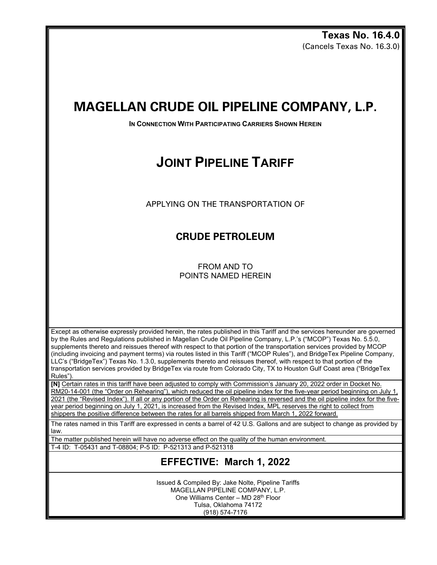**Texas No. 16.4.0** (Cancels Texas No. 16.3.0)

## **MAGELLAN CRUDE OIL PIPELINE COMPANY, L.P.**

**IN CONNECTION WITH PARTICIPATING CARRIERS SHOWN HEREIN** 

# **JOINT PIPELINE TARIFF**

APPLYING ON THE TRANSPORTATION OF

### **CRUDE PETROLEUM**

FROM AND TO POINTS NAMED HEREIN

Except as otherwise expressly provided herein, the rates published in this Tariff and the services hereunder are governed by the Rules and Regulations published in Magellan Crude Oil Pipeline Company, L.P.'s ("MCOP") Texas No. 5.5.0, supplements thereto and reissues thereof with respect to that portion of the transportation services provided by MCOP (including invoicing and payment terms) via routes listed in this Tariff ("MCOP Rules"), and BridgeTex Pipeline Company, LLC's ("BridgeTex") Texas No. 1.3.0, supplements thereto and reissues thereof, with respect to that portion of the transportation services provided by BridgeTex via route from Colorado City, TX to Houston Gulf Coast area ("BridgeTex Rules").

**[N]** Certain rates in this tariff have been adjusted to comply with Commission's January 20, 2022 order in Docket No. RM20-14-001 (the "Order on Rehearing"), which reduced the oil pipeline index for the five-year period beginning on July 1, 2021 (the "Revised Index"). If all or any portion of the Order on Rehearing is reversed and the oil pipeline index for the fiveyear period beginning on July 1, 2021, is increased from the Revised Index, MPL reserves the right to collect from shippers the positive difference between the rates for all barrels shipped from March 1, 2022 forward.

The rates named in this Tariff are expressed in cents a barrel of 42 U.S. Gallons and are subject to change as provided by law.

The matter published herein will have no adverse effect on the quality of the human environment.

T-4 ID: T-05431 and T-08804; P-5 ID: P-521313 and P-521318

### **EFFECTIVE: March 1, 2022**

Issued & Compiled By: Jake Nolte, Pipeline Tariffs MAGELLAN PIPELINE COMPANY, L.P. One Williams Center – MD 28th Floor Tulsa, Oklahoma 74172 (918) 574-7176